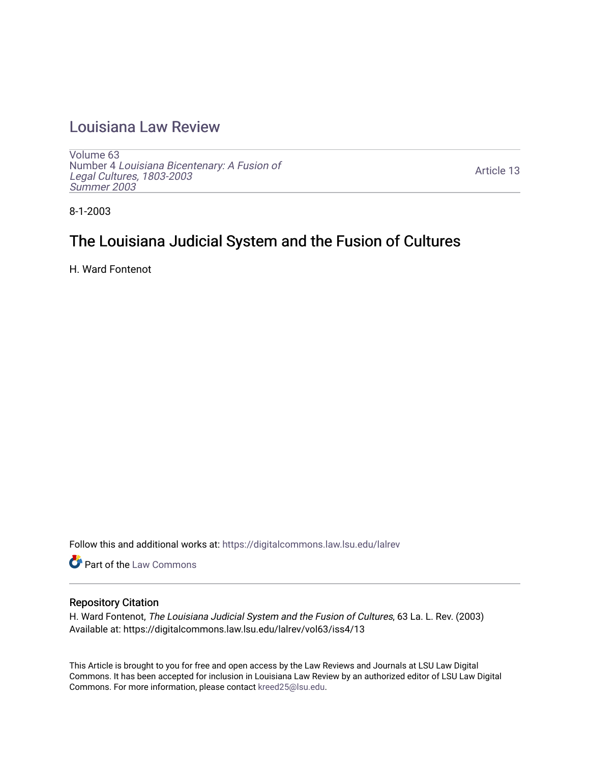# [Louisiana Law Review](https://digitalcommons.law.lsu.edu/lalrev)

[Volume 63](https://digitalcommons.law.lsu.edu/lalrev/vol63) Number 4 [Louisiana Bicentenary: A Fusion of](https://digitalcommons.law.lsu.edu/lalrev/vol63/iss4) [Legal Cultures, 1803-2003](https://digitalcommons.law.lsu.edu/lalrev/vol63/iss4) [Summer 2003](https://digitalcommons.law.lsu.edu/lalrev/vol63/iss4) 

[Article 13](https://digitalcommons.law.lsu.edu/lalrev/vol63/iss4/13) 

8-1-2003

# The Louisiana Judicial System and the Fusion of Cultures

H. Ward Fontenot

Follow this and additional works at: [https://digitalcommons.law.lsu.edu/lalrev](https://digitalcommons.law.lsu.edu/lalrev?utm_source=digitalcommons.law.lsu.edu%2Flalrev%2Fvol63%2Fiss4%2F13&utm_medium=PDF&utm_campaign=PDFCoverPages)

Part of the [Law Commons](https://network.bepress.com/hgg/discipline/578?utm_source=digitalcommons.law.lsu.edu%2Flalrev%2Fvol63%2Fiss4%2F13&utm_medium=PDF&utm_campaign=PDFCoverPages)

### Repository Citation

H. Ward Fontenot, The Louisiana Judicial System and the Fusion of Cultures, 63 La. L. Rev. (2003) Available at: https://digitalcommons.law.lsu.edu/lalrev/vol63/iss4/13

This Article is brought to you for free and open access by the Law Reviews and Journals at LSU Law Digital Commons. It has been accepted for inclusion in Louisiana Law Review by an authorized editor of LSU Law Digital Commons. For more information, please contact [kreed25@lsu.edu](mailto:kreed25@lsu.edu).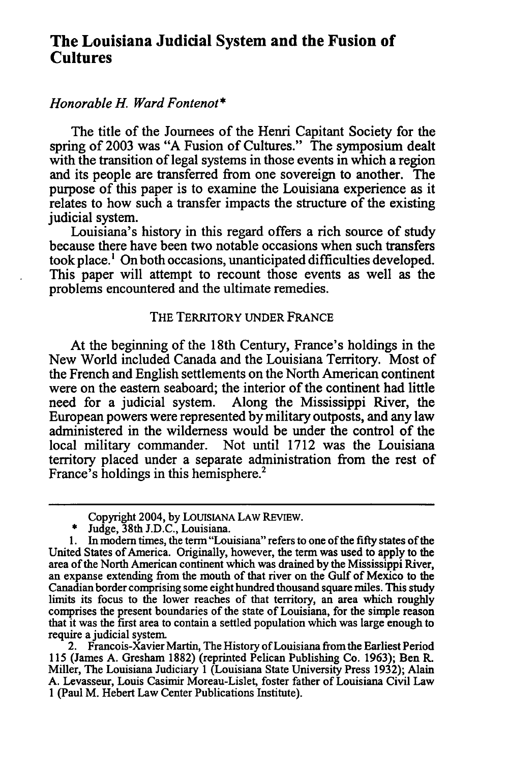## **The Louisiana Judicial System and the Fusion of Cultures**

### *HonorableH. Ward Fontenot\**

The title of the Journees of the Henri Capitant Society for the spring of 2003 was "A Fusion of Cultures." The symposium dealt with the transition of legal systems in those events in which a region and its people are transferred from one sovereign to another. The purpose of this paper is to examine the Louisiana experience as it relates to how such a transfer impacts the structure of the existing judicial system.

Louisiana's history in this regard offers a rich source of study because there have been two notable occasions when such transfers took place.' On both occasions, unanticipated difficulties developed. This paper will attempt to recount those events as well as the problems encountered and the ultimate remedies.

#### THE TERRITORY UNDER FRANCE

At the beginning of the 18th Century, France's holdings in the New World included Canada and the Louisiana Territory. Most of the French and English settlements on the North American continent were on the eastern seaboard; the interior of the continent had little need for a judicial system. Along the Mississippi River, the European powers were represented by military outposts, and any law administered in the wilderness would be under the control of the local military commander. Not until 1712 was the Louisiana territory placed under a separate administration from the rest of France's holdings in this hemisphere.<sup>2</sup>

2. Francois-Xavier Martin, The History of Louisiana from the Earliest Period **115** (James **A.** Gresham **1882)** (reprinted Pelican Publishing Co. **1963);** Ben R. Miller, The Louisiana Judiciary **1**(Louisiana State University Press **1932);** Alain **A.** Levasseur, Louis Casimir Moreau-Lislet, foster father of Louisiana Civil Law **1** (Paul M. Hebert Law Center Publications Institute).

Copyright 2004, by LOUISIANA LAW REVIEW.

<sup>\*</sup> Judge, 38th J.D.C., Louisiana.

<sup>1.</sup> In modern times, the term "Louisiana" refers to one of the fifty states of the United States of America. Originally, however, the term was used to apply to the area of the North American continent which was drained **by** the Mississippi River, an expanse extending from the mouth of that river on the Gulf of Mexico to the Canadian border comprising some eight hundred thousand square miles. This study limits its focus to the lower reaches of that territory, an area which roughly comprises the present boundaries of the state of Louisiana, for the simple reason that it was the first area to contain a settled population which was large enough to require a judicial system.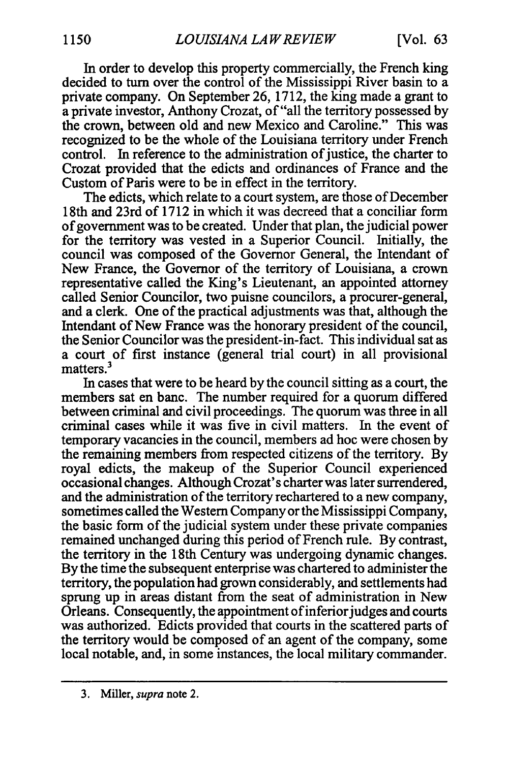In order to develop this property commercially, the French king decided to turn over the control of the Mississippi River basin to a private company. On September 26, 1712, the king made a grant to a private investor, Anthony Crozat, of "all the territory possessed by the crown, between old and new Mexico and Caroline." This was recognized to be the whole of the Louisiana territory under French control. In reference to the administration of justice, the charter to Crozat provided that the edicts and ordinances of France and the Custom of Paris were to be in effect in the territory.

The edicts, which relate to a court system, are those of December 18th and 23rd of 1712 in which it was decreed that a conciliar form ofgovernment was to be created. Under that plan, the judicial power for the territory was vested in a Superior Council. Initially, the council was composed of the Governor General, the Intendant of New France, the Governor of the territory of Louisiana, a crown representative called the King's Lieutenant, an appointed attorney called Senior Councilor, two puisne councilors, a procurer-general, and a clerk. One of the practical adjustments was that, although the Intendant of New France was the honorary president of the council, the Senior Councilor was the president-in-fact. This individual sat as a court of first instance (general trial court) in all provisional matters.3

In cases that were to be heard by the council sitting as a court, the members sat en banc. The number required for a quorum differed between criminal and civil proceedings. The quorum was three in all criminal cases while it was five in civil matters. In the event of temporary vacancies in the council, members ad hoc were chosen by the remaining members from respected citizens of the territory. By royal edicts, the makeup of the Superior Council experienced occasional changes. Although Crozat's charter was later surrendered, and the administration of the territory rechartered to a new company, sometimes called the Western Company or the Mississippi Company, the basic form of the judicial system under these private companies remained unchanged during this period of French rule. By contrast, the territory in the 18th Century was undergoing dynamic changes. By the time the subsequent enterprise was chartered to administer the territory, the population had grown considerably, and settlements had sprung up in areas distant from the seat of administration in New Orleans. Consequently, the appointment of inferior judges and courts was authorized. Edicts provided that courts in the scattered parts of the territory would be composed of an agent of the company, some local notable, and, in some instances, the local military commander.

<sup>3.</sup> Miller, *supra*note 2.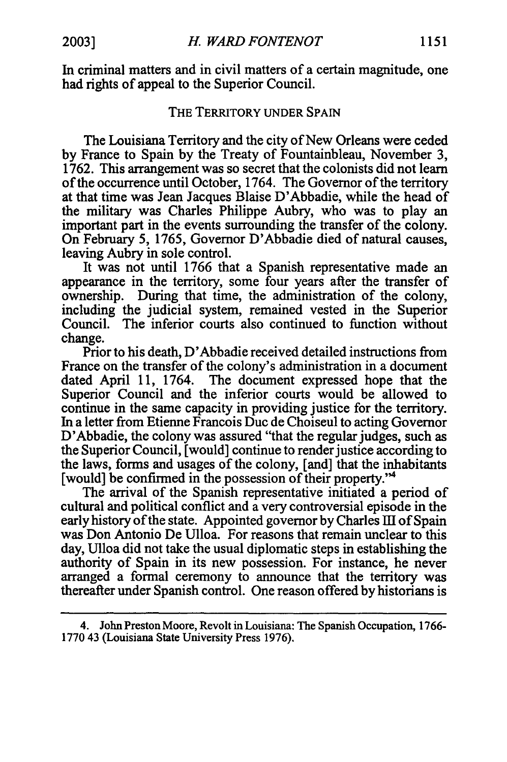In criminal matters and in civil matters of a certain magnitude, one had rights of appeal to the Superior Council.

### THE TERRITORY **UNDER SPAIN**

The Louisiana Territory and the city of New Orleans were ceded by France to Spain by the Treaty of Fountainbleau, November 3, 1762. This arrangement was so secret that the colonists did not learn of the occurrence until October, 1764. The Governor of the territory at that time was Jean Jacques Blaise D'Abbadie, while the head of the military was Charles Philippe Aubry, who was to play an important part in the events surrounding the transfer of the colony. On February 5, 1765, Governor D'Abbadie died of natural causes, leaving Aubry in sole control.

It was not until 1766 that a Spanish representative made an appearance in the territory, some four years after the transfer of ownership. During that time, the administration of the colony, including the judicial system, remained vested in the Superior Council. The inferior courts also continued to function without change.

Prior to his death, D'Abbadie received detailed instructions from France on the transfer of the colony's administration in a document dated April 11, 1764. The document expressed hope that the Superior Council and the inferior courts would be allowed to continue in the same capacity in providing justice for the territory. In a letter from Etienne Francois Duc de Choiseul to acting Governor D'Abbadie, the colony was assured "that the regular judges, such as the Superior Council, [would] continue to render justice according to the laws, forms and usages of the colony, [and] that the inhabitants [would] be confirmed in the possession of their property."4

The arrival of the Spanish representative initiated a period of cultural and political conflict and a very controversial episode in the early history of the state. Appointed governor by Charles III of Spain was Don Antonio De Ulloa. For reasons that remain unclear to this day, Ulloa did not take the usual diplomatic steps in establishing the authority of Spain in its new possession. For instance, he never arranged a formal ceremony to announce that the territory was thereafter under Spanish control. One reason offered by historians is

<sup>4.</sup> John Preston Moore, Revolt in Louisiana: The Spanish Occupation, 1766- 1770 43 (Louisiana State University Press 1976).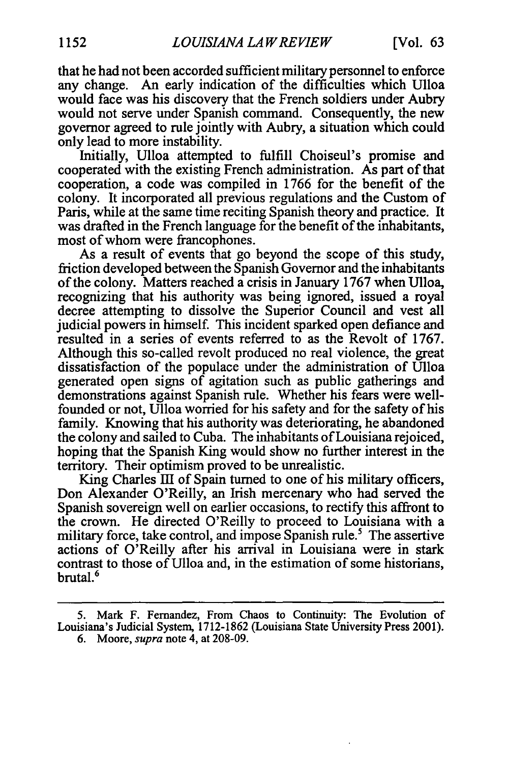that he had not been accorded sufficient military personnel to enforce any change. An early indication of the difficulties which Ulloa would face was his discovery that the French soldiers under Aubry would not serve under Spanish command. Consequently, the new governor agreed to rule jointly with Aubry, a situation which could only lead to more instability.

Initially, Ulloa attempted to fulfill Choiseul's promise and cooperated with the existing French administration. As part of that cooperation, a code was compiled in 1766 for the benefit of the colony. It incorporated all previous regulations and the Custom of Paris, while at the same time reciting Spanish theory and practice. It was drafted in the French language for the benefit of the inhabitants, most of whom were francophones.

As a result of events that go beyond the scope of this study, friction developed between the Spanish Governor and the inhabitants of the colony. Matters reached a crisis in January 1767 when Ulloa, recognizing that his authority was being ignored, issued a royal decree attempting to dissolve the Superior Council and vest all judicial powers in himself. This incident sparked open defiance and resulted in a series of events referred to as the Revolt of 1767. Although this so-called revolt produced no real violence, the great dissatisfaction of the populace under the administration of Ulloa generated open signs of agitation such as public gatherings and demonstrations against Spanish rule. Whether his fears were wellfounded or not, Ulloa worried for his safety and for the safety of his family. Knowing that his authority was deteriorating, he abandoned the colony and sailed to Cuba. The inhabitants of Louisiana rejoiced, hoping that the Spanish King would show no further interest in the territory. Their optimism proved to be unrealistic.

King Charles III of Spain turned to one of his military officers, Don Alexander O'Reilly, an Irish mercenary who had served the Spanish sovereign well on earlier occasions, to rectify this affront to the crown. He directed O'Reilly to proceed to Louisiana with a military force, take control, and impose Spanish rule.<sup>5</sup> The assertive actions of O'Reilly after his arrival in Louisiana were in stark contrast to those of Ulloa and, in the estimation of some historians, brutal.<sup>6</sup>

<sup>5.</sup> Mark F. Fernandez, From Chaos to Continuity: The Evolution of Louisiana's Judicial System, 1712-1862 (Louisiana State University Press 2001).

<sup>6.</sup> Moore, *supra* note 4, at 208-09.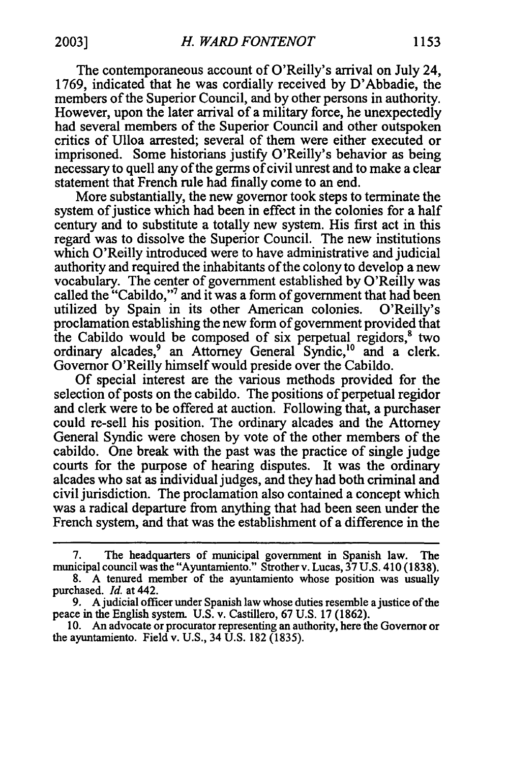The contemporaneous account of O'Reilly's arrival on July 24, 1769, indicated that he was cordially received by D'Abbadie, the members of the Superior Council, and by other persons in authority. However, upon the later arrival of a military force, he unexpectedly had several members of the Superior Council and other outspoken critics of Ulloa arrested; several of them were either executed or imprisoned. Some historians justify O'Reilly's behavior as being

necessary to quell any of the germs of civil unrest and to make a clear

statement that French rule had finally come to an end. More substantially, the new governor took steps to terminate the system of justice which had been in effect in the colonies for a half century and to substitute a totally new system. His first act in this regard was to dissolve the Superior Council. The new institutions which O'Reilly introduced were to have administrative and judicial authority and required the inhabitants of the colony to develop a new vocabulary. The center of government established by O'Reilly was called the "Cabildo,"<sup>7</sup> and it was a form of government that had been utilized by Spain in its other American colonies. O'Reilly's proclamation establishing the new form of government provided that the Cabildo would be composed of six perpetual regidors, $<sup>8</sup>$  two</sup> ordinary alcades,<sup>9</sup> an Attorney General Syndic,<sup>10</sup> and a clerk. Governor O'Reilly himself would preside over the Cabildo.

Of special interest are the various methods provided for the selection of posts on the cabildo. The positions of perpetual regidor and clerk were to be offered at auction. Following that, a purchaser could re-sell his position. The ordinary alcades and the Attorney General Syndic were chosen by vote of the other members of the cabildo. One break with the past was the practice of single judge courts for the purpose of hearing disputes. It was the ordinary alcades who sat as individual judges, and they had both criminal and civil jurisdiction. The proclamation also contained a concept which was a radical departure from anything that had been seen under the French system, and that was the establishment of a difference in the

<sup>7.</sup> The headquarters of municipal government in Spanish law. The municipal council was the "Ayuntamiento." Strother v. Lucas, 37 U.S. 410 (1838).

<sup>8.</sup> A tenured member of the ayuntamiento whose position was usually purchased. *Id.* at 442.

<sup>9.</sup> A judicial officer under Spanish law whose duties resemble a justice of the peace in the English system. U.S. v. Castillero, 67 U.S. 17 (1862).

<sup>10.</sup> An advocate or procurator representing an authority, here the Governor or the ayuntamiento. Field v. U.S., 34 U.S. 182 (1835).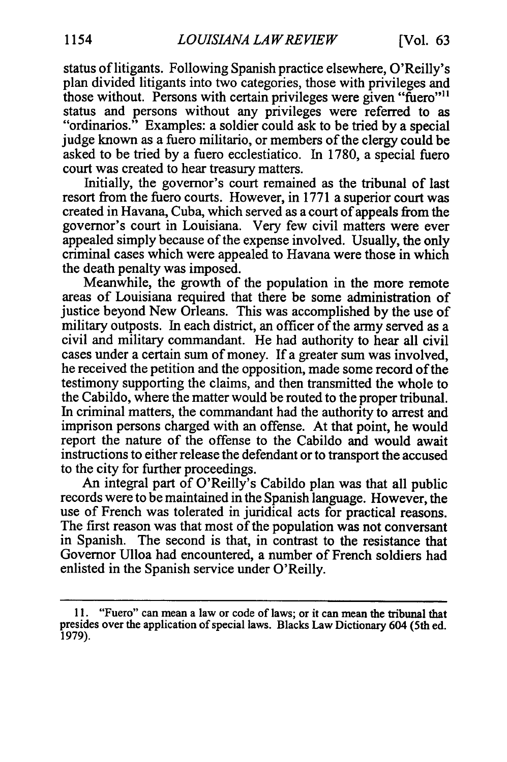status of litigants. Following Spanish practice elsewhere, O'Reilly's plan divided litigants into two categories, those with privileges and those without. Persons with certain privileges were given "fuero"<sup>11</sup> status and persons without any privileges were referred to as "ordinarios." Examples: a soldier could ask to be tried by a special judge known as a fuero militario, or members of the clergy could be asked to be tried by a fuero ecclestiatico. In 1780, a special fuero court was created to hear treasury matters.

Initially, the governor's court remained as the tribunal of last resort from the fuero courts. However, in 1771 a superior court was created in Havana, Cuba, which served as a court of appeals from the governor's court in Louisiana. Very few civil matters were ever appealed simply because of the expense involved. Usually, the only criminal cases which were appealed to Havana were those in which the death penalty was imposed.

Meanwhile, the growth of the population in the more remote areas of Louisiana required that there be some administration of justice beyond New Orleans. This was accomplished by the use of military outposts. In each district, an officer of the army served as a civil and military commandant. He had authority to hear all civil cases under a certain sum of money. If a greater sum was involved, he received the petition and the opposition, made some record of the testimony supporting the claims, and then transmitted the whole to the Cabildo, where the matter would be routed to the proper tribunal. In criminal matters, the commandant had the authority to arrest and imprison persons charged with an offense. At that point, he would report the nature of the offense to the Cabildo and would await instructions to either release the defendant or to transport the accused to the city for further proceedings.

An integral part of O'Reilly's Cabildo plan was that all public records were to be maintained in the Spanish language. However, the use of French was tolerated in juridical acts for practical reasons. The first reason was that most of the population was not conversant in Spanish. The second is that, in contrast to the resistance that Governor Ulloa had encountered, a number of French soldiers had enlisted in the Spanish service under O'Reilly.

<sup>11. &</sup>quot;Fuero" can mean a law or code of laws; or it can mean the tribunal that presides over the application of special laws. Blacks Law Dictionary 604 (5th ed. 1979).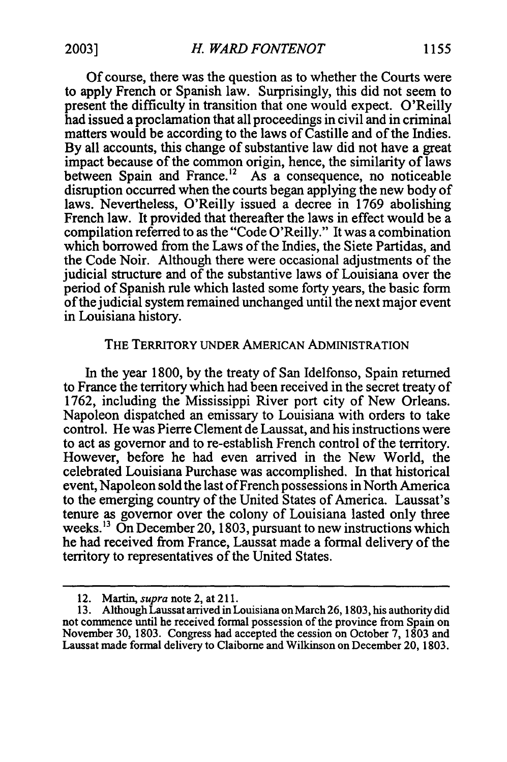Of course, there was the question as to whether the Courts were to apply French or Spanish law. Surprisingly, this did not seem to present the difficulty in transition that one would expect. O'Reilly had issued a proclamation that all proceedings in civil and in criminal matters would be according to the laws of Castille and of the Indies. By all accounts, this change of substantive law did not have a great impact because of the common origin, hence, the similarity of laws between Spain and France.<sup>12</sup> As a consequence, no noticeable disruption occurred when the courts began applying the new body of laws. Nevertheless, O'Reilly issued a decree in 1769 abolishing French law. It provided that thereafter the laws in effect would be a compilation referred to as the "Code O'Reilly." It was a combination which borrowed from the Laws of the Indies, the Siete Partidas, and the Code Noir. Although there were occasional adjustments of the judicial structure and of the substantive laws of Louisiana over the period of Spanish rule which lasted some forty years, the basic form ofthe judicial system remained unchanged until the next major event in Louisiana history.

#### THE TERRITORY UNDER AMERICAN ADMINISTRATION

In the year 1800, by the treaty of San Idelfonso, Spain returned to France the territory which had been received in the secret treaty of 1762, including the Mississippi River port city of New Orleans. Napoleon dispatched an emissary to Louisiana with orders to take control. He was Pierre Clement de Laussat, and his instructions were to act as governor and to re-establish French control of the territory. However, before he had even arrived in the New World, the celebrated Louisiana Purchase was accomplished. In that historical event, Napoleon sold the last of French possessions in North America to the emerging country of the United States of America. Laussat's tenure as governor over the colony of Louisiana lasted only three weeks.<sup>13</sup> On December 20, 1803, pursuant to new instructions which he had received from France, Laussat made a formal delivery of the territory to representatives of the United States.

<sup>12.</sup> *Martin,supranote 2, at 211.* 

<sup>13.</sup> Although Laussat arrived in Louisiana on March **26,** 1803, his authority did not commence until he received formal possession of the province from Spain on November 30, 1803. Congress had accepted the cession on October 7, 1803 and Laussat made formal delivery to Claiborne and Wilkinson on December 20, 1803.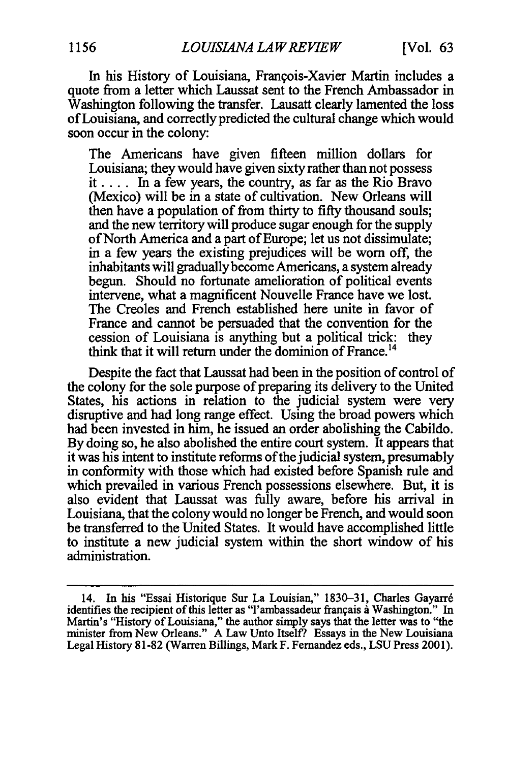In his History of Louisiana, Frangois-Xavier Martin includes a quote from a letter which Laussat sent to the French Ambassador in Washington following the transfer. Lausatt clearly lamented the loss ofLouisiana, and correctly predicted the cultural change which would soon occur in the colony:

The Americans have given fifteen million dollars for Louisiana; they would have given sixty rather than not possess it .... In a few years, the country, as far as the Rio Bravo (Mexico) will be in a state of cultivation. New Orleans will then have a population of from thirty to fifty thousand souls; and the new territory will produce sugar enough for the supply of North America and a part of Europe; let us not dissimulate; in a few years the existing prejudices will be worn off, the inhabitants will gradually become Americans, a system already begun. Should no fortunate amelioration of political events intervene, what a magnificent Nouvelle France have we lost. The Creoles and French established here unite in favor of France and cannot be persuaded that the convention for the cession of Louisiana is anything but a political trick: they think that it will return under the dominion of France.<sup>14</sup>

Despite the fact that Laussat had been in the position of control of the colony for the sole purpose of preparing its delivery to the United States, his actions in relation to the judicial system were very disruptive and had long range effect. Using the broad powers which had been invested in him, he issued an order abolishing the Cabildo. By doing so, he also abolished the entire court system. It appears that it was his intent to institute reforms of the judicial system, presumably in conformity with those which had existed before Spanish rule and which prevailed in various French possessions elsewhere. But, it is also evident that Laussat was fully aware, before his arrival in Louisiana, that the colony would no longer be French, and would soon be transferred to the United States. It would have accomplished little to institute a new judicial system within the short window of his administration.

<sup>14.</sup> In his "Essai Historique Sur La Louisian," 1830-31, Charles Gayarr6 identifies the recipient of this letter as "l'ambassadeur français à Washington." In Martin's "History of Louisiana," the author simply says that the letter was to "the minister from New Orleans." A Law Unto Itself? Essays in the New Louisiana Legal History 81-82 (Warren Billings, Mark F. Fernandez eds., LSU Press 2001).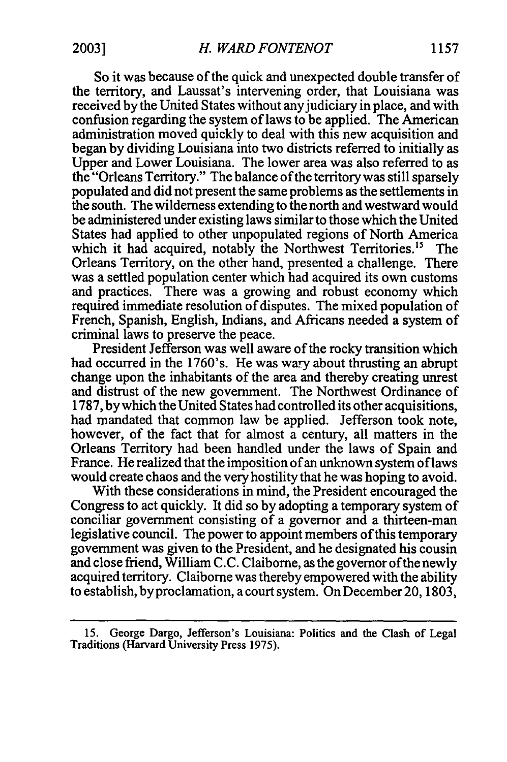So it was because of the quick and unexpected double transfer of the territory, and Laussat's intervening order, that Louisiana was received by the United States without any judiciary in place, and with confusion regarding the system of laws to be applied. The American administration moved quickly to deal with this new acquisition and began by dividing Louisiana into two districts referred to initially as Upper and Lower Louisiana. The lower area was also referred to as the "Orleans Territory." The balance of the territory was still sparsely populated and did not present the same problems as the settlements in the south. The wilderness extending to the north and westward would be administered under existing laws similar to those which the United States had applied to other unpopulated regions of North America which it had acquired, notably the Northwest Territories.<sup>15</sup> The Orleans Territory, on the other hand, presented a challenge. There was a settled population center which had acquired its own customs and practices. There was a growing and robust economy which required immediate resolution of disputes. The mixed population of French, Spanish, English, Indians, and Africans needed a system of criminal laws to preserve the peace.

President Jefferson was well aware of the rocky transition which had occurred in the 1760's. He was wary about thrusting an abrupt change upon the inhabitants of the area and thereby creating unrest and distrust of the new government. The Northwest Ordinance of 1787, bywhich the United States had controlled its other acquisitions, had mandated that common law be applied. Jefferson took note, however, of the fact that for almost a century, all matters in the Orleans Territory had been handled under the laws of Spain and France. He realized that the imposition of an unknown system of laws would create chaos and the very hostility that he was hoping to avoid.

With these considerations in mind, the President encouraged the Congress to act quickly. It did so by adopting a temporary system of conciliar government consisting of a governor and a thirteen-man legislative council. The power to appoint members of this temporary government was given to the President, and he designated his cousin and close friend, William C.C. Claiborne, as the governor ofthe newly acquired territory. Claiborne was thereby empowered with the ability to establish, by proclamation, a court system. On December 20, 1803,

<sup>15.</sup> George Dargo, Jefferson's Louisiana: Politics and the Clash of Legal Traditions (Harvard University Press 1975).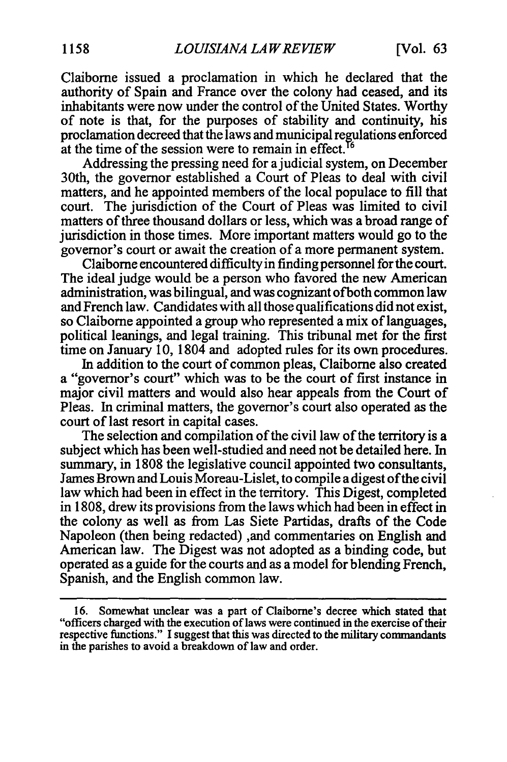Claiborne issued a proclamation in which he declared that the authority of Spain and France over the colony had ceased, and its inhabitants were now under the control of the United States. Worthy of note is that, for the purposes of stability and continuity, his proclamation decreed that the laws and municipal regulations enforced at the time of the session were to remain in effect. **<sup>6</sup>**

Addressing the pressing need for a judicial system, on December 30th, the governor established a Court of Pleas to deal with civil matters, and he appointed members of the local populace to fill that court. The jurisdiction of the Court of Pleas was limited to civil matters of three thousand dollars or less, which was a broad range of jurisdiction in those times. More important matters would go to the governor's court or await the creation of a more permanent system.

Claiborne encountered difficulty in finding personnel for the court. The ideal judge would be a person who favored the new American administration, was bilingual, and was cognizant ofboth common law and French law. Candidates with all those qualifications did not exist, so Claiborne appointed a group who represented a mix of languages, political leanings, and legal training. This tribunal met for the first time on January 10, 1804 and adopted rules for its own procedures.

In addition to the court of common pleas, Claiborne also created a "governor's court" which was to be the court of first instance in major civil matters and would also hear appeals from the Court of Pleas. In criminal matters, the governor's court also operated as the court of last resort in capital cases.

The selection and compilation of the civil law of the territory is a subject which has been well-studied and need not be detailed here. In summary, in 1808 the legislative council appointed two consultants, James Brown and Louis Moreau-Lislet, to compile a digest ofthe civil law which had been in effect in the territory. This Digest, completed in 1808, drew its provisions from the laws which had been in effect in the colony as well as from Las Siete Partidas, drafts of the Code Napoleon (then being redacted) ,and commentaries on English and American law. The Digest was not adopted as a binding code, but operated as a guide for the courts and as a model for blending French, Spanish, and the English common law.

**<sup>16.</sup>** Somewhat unclear was a part of Claiborne's decree which stated that "officers charged with the execution oflaws were continued inthe exercise oftheir respective functions." I suggest that this was directed to the military commandants in the parishes to avoid a breakdown of law and order.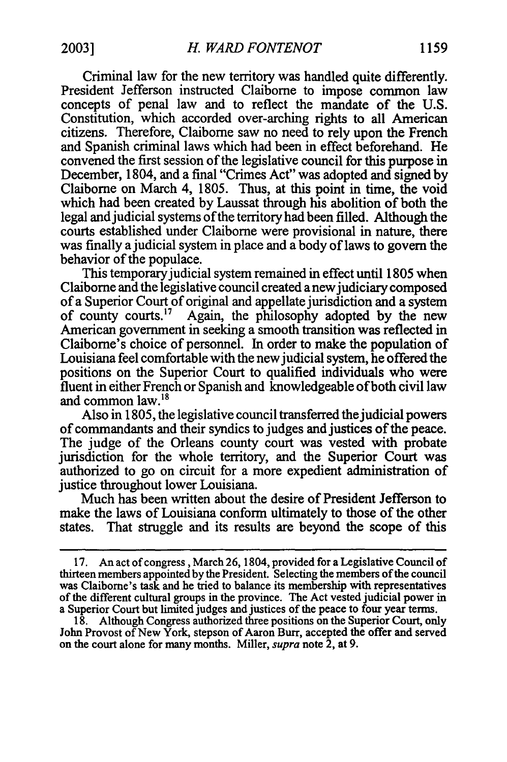Criminal law for the new territory was handled quite differently. President Jefferson instructed Claibome to impose common law concepts of penal law and to reflect the mandate of the U.S. Constitution, which accorded over-arching rights to all American citizens. Therefore, Claiborne saw no need to rely upon the French and Spanish criminal laws which had been in effect beforehand. He convened the first session of the legislative council for this purpose in December, 1804, and a final "Crimes Act" was adopted and signed by Claiborne on March 4, 1805. Thus, at this point in time, the void which had been created by Laussat through his abolition of both the legal and judicial systems of the territory had been filled. Although the courts established under Claiborne were provisional in nature, there was finally a judicial system in place and a body of laws to govern the behavior of the populace.

This temporary judicial system remained in effect until 1805 when Claiborne and the legislative council created anewjudiciary composed of a Superior Court of original and appellate jurisdiction and a system of county courts." Again, the philosophy adopted by the new American government in seeking a smooth transition was reflected in Claiborne's choice of personnel. In order to make the population of Louisiana feel comfortable with the new judicial system, he offered the positions on the Superior Court to qualified individuals who were fluent in either French or Spanish and knowledgeable of both civil law and common law.<sup>18</sup>

Also in 1805, the legislative council transferred the judicial powers of commandants and their syndics to judges and justices of the peace. The judge of the Orleans county court was vested with probate jurisdiction for the whole territory, and the Superior Court was authorized to go on circuit for a more expedient administration of justice throughout lower Louisiana.

Much has been written about the desire of President Jefferson to make the laws of Louisiana conform ultimately to those of the other states. That struggle and its results are beyond the scope of this

<sup>17.</sup> An act of congress, March 26, 1804, provided for a Legislative Council of thirteen members appointed by the President. Selecting the members ofthe council was Claiborne's task and he tried to balance its membership with representatives of the different cultural groups in the province. The Act vested judicial power in a Superior Court but limited judges and justices of the peace to four year terms.

<sup>18.</sup> Although Congress authorized three positions on the Superior Court, only John Provost of New York, stepson of Aaron Burr, accepted the offer and served on the court alone for many months. Miller, *supra*note 2, at 9.